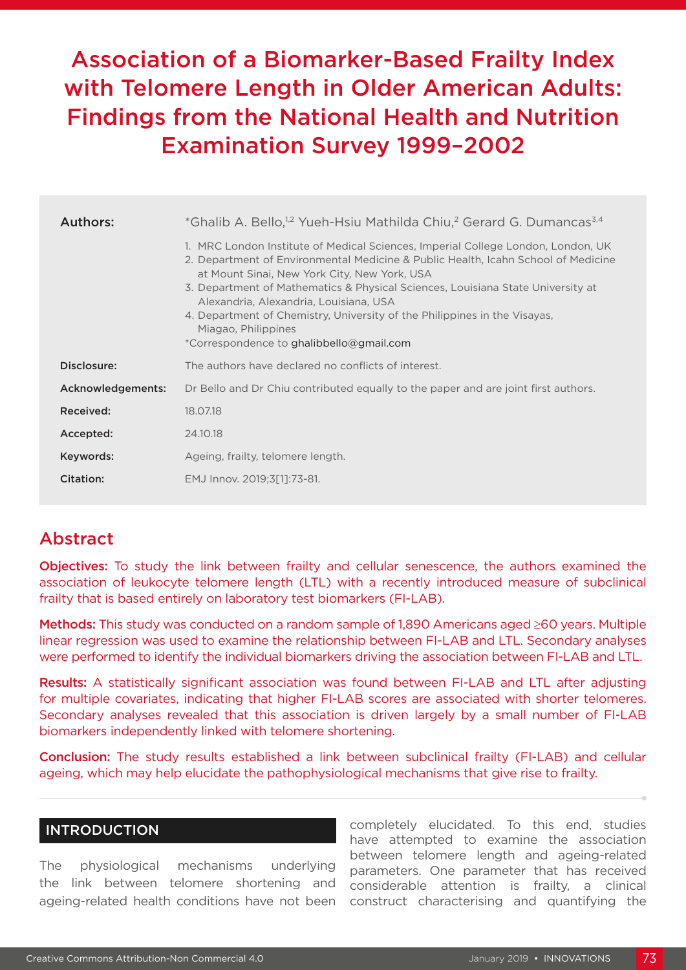# Association of a Biomarker-Based Frailty Index with Telomere Length in Older American Adults: Findings from the National Health and Nutrition Examination Survey 1999–2002

| Authors:          | *Ghalib A. Bello, <sup>12</sup> Yueh-Hsiu Mathilda Chiu, <sup>2</sup> Gerard G. Dumancas <sup>3,4</sup>                                                                                                                                                                                                                                                                                                                                                                                            |  |  |  |  |
|-------------------|----------------------------------------------------------------------------------------------------------------------------------------------------------------------------------------------------------------------------------------------------------------------------------------------------------------------------------------------------------------------------------------------------------------------------------------------------------------------------------------------------|--|--|--|--|
|                   | 1. MRC London Institute of Medical Sciences, Imperial College London, London, UK<br>2. Department of Environmental Medicine & Public Health, Icahn School of Medicine<br>at Mount Sinai, New York City, New York, USA<br>3. Department of Mathematics & Physical Sciences, Louisiana State University at<br>Alexandria, Alexandria, Louisiana, USA<br>4. Department of Chemistry, University of the Philippines in the Visayas,<br>Miagao, Philippines<br>*Correspondence to ghalibbello@gmail.com |  |  |  |  |
| Disclosure:       | The authors have declared no conflicts of interest.                                                                                                                                                                                                                                                                                                                                                                                                                                                |  |  |  |  |
| Acknowledgements: | Dr Bello and Dr Chiu contributed equally to the paper and are joint first authors.                                                                                                                                                                                                                                                                                                                                                                                                                 |  |  |  |  |
| Received:         | 18.07.18                                                                                                                                                                                                                                                                                                                                                                                                                                                                                           |  |  |  |  |
| Accepted:         | 24, 10, 18                                                                                                                                                                                                                                                                                                                                                                                                                                                                                         |  |  |  |  |
| Keywords:         | Ageing, frailty, telomere length.                                                                                                                                                                                                                                                                                                                                                                                                                                                                  |  |  |  |  |
| Citation:         | EMJ Innov. 2019;3[1]:73-81.                                                                                                                                                                                                                                                                                                                                                                                                                                                                        |  |  |  |  |

## Abstract

Objectives: To study the link between frailty and cellular senescence, the authors examined the association of leukocyte telomere length (LTL) with a recently introduced measure of subclinical frailty that is based entirely on laboratory test biomarkers (FI-LAB).

Methods: This study was conducted on a random sample of 1,890 Americans aged ≥60 years. Multiple linear regression was used to examine the relationship between FI-LAB and LTL. Secondary analyses were performed to identify the individual biomarkers driving the association between FI-LAB and LTL.

Results: A statistically significant association was found between FI-LAB and LTL after adjusting for multiple covariates, indicating that higher FI-LAB scores are associated with shorter telomeres. Secondary analyses revealed that this association is driven largely by a small number of FI-LAB biomarkers independently linked with telomere shortening.

Conclusion: The study results established a link between subclinical frailty (FI-LAB) and cellular ageing, which may help elucidate the pathophysiological mechanisms that give rise to frailty.

## INTRODUCTION

The physiological mechanisms underlying the link between telomere shortening and ageing-related health conditions have not been completely elucidated. To this end, studies have attempted to examine the association between telomere length and ageing-related parameters. One parameter that has received considerable attention is frailty, a clinical construct characterising and quantifying the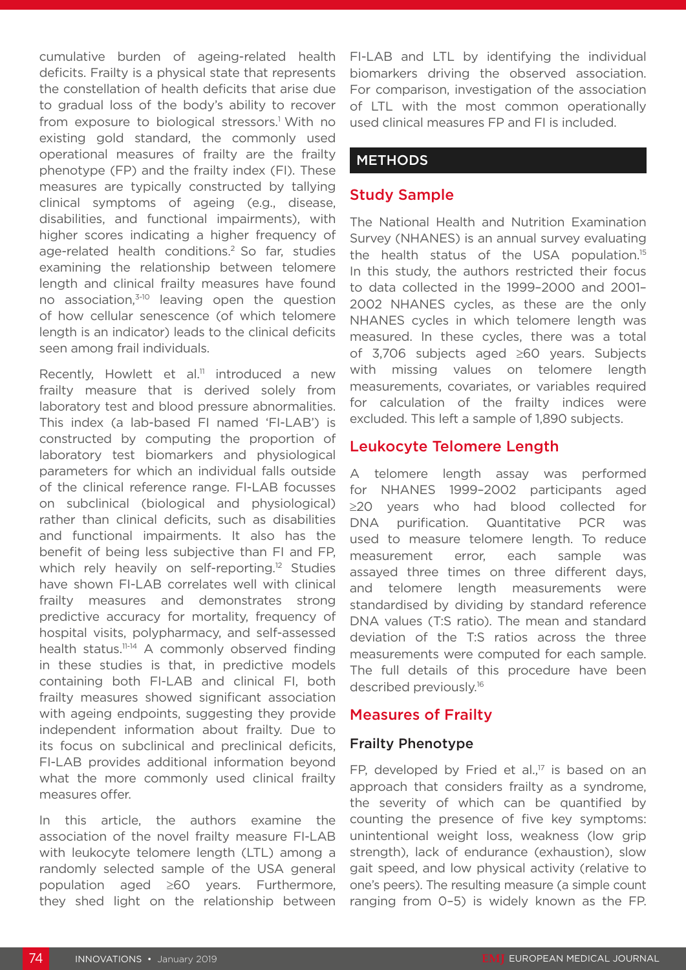cumulative burden of ageing-related health deficits. Frailty is a physical state that represents the constellation of health deficits that arise due to gradual loss of the body's ability to recover from exposure to biological stressors.<sup>1</sup> With no existing gold standard, the commonly used operational measures of frailty are the frailty phenotype (FP) and the frailty index (FI). These measures are typically constructed by tallying clinical symptoms of ageing (e.g., disease, disabilities, and functional impairments), with higher scores indicating a higher frequency of age-related health conditions.<sup>2</sup> So far, studies examining the relationship between telomere length and clinical frailty measures have found no association,<sup>3-10</sup> leaving open the question of how cellular senescence (of which telomere length is an indicator) leads to the clinical deficits seen among frail individuals.

Recently, Howlett et al.<sup>11</sup> introduced a new frailty measure that is derived solely from laboratory test and blood pressure abnormalities. This index (a lab-based FI named 'FI-LAB') is constructed by computing the proportion of laboratory test biomarkers and physiological parameters for which an individual falls outside of the clinical reference range. FI-LAB focusses on subclinical (biological and physiological) rather than clinical deficits, such as disabilities and functional impairments. It also has the benefit of being less subjective than FI and FP, which rely heavily on self-reporting.<sup>12</sup> Studies have shown FI-LAB correlates well with clinical frailty measures and demonstrates strong predictive accuracy for mortality, frequency of hospital visits, polypharmacy, and self-assessed health status.<sup>11-14</sup> A commonly observed finding in these studies is that, in predictive models containing both FI-LAB and clinical FI, both frailty measures showed significant association with ageing endpoints, suggesting they provide independent information about frailty. Due to its focus on subclinical and preclinical deficits, FI-LAB provides additional information beyond what the more commonly used clinical frailty measures offer.

In this article, the authors examine the association of the novel frailty measure FI-LAB with leukocyte telomere length (LTL) among a randomly selected sample of the USA general population aged ≥60 years. Furthermore, they shed light on the relationship between FI-LAB and LTL by identifying the individual biomarkers driving the observed association. For comparison, investigation of the association of LTL with the most common operationally used clinical measures FP and FI is included.

#### **METHODS**

#### Study Sample

The National Health and Nutrition Examination Survey (NHANES) is an annual survey evaluating the health status of the USA population.15 In this study, the authors restricted their focus to data collected in the 1999–2000 and 2001– 2002 NHANES cycles, as these are the only NHANES cycles in which telomere length was measured. In these cycles, there was a total of 3,706 subjects aged ≥60 years. Subjects with missing values on telomere length measurements, covariates, or variables required for calculation of the frailty indices were excluded. This left a sample of 1,890 subjects.

#### Leukocyte Telomere Length

A telomere length assay was performed for NHANES 1999–2002 participants aged ≥20 years who had blood collected for DNA purification. Quantitative PCR was used to measure telomere length. To reduce measurement error, each sample was assayed three times on three different days, and telomere length measurements were standardised by dividing by standard reference DNA values (T:S ratio). The mean and standard deviation of the T:S ratios across the three measurements were computed for each sample. The full details of this procedure have been described previously.<sup>16</sup>

#### Measures of Frailty

#### Frailty Phenotype

FP, developed by Fried et al., $17$  is based on an approach that considers frailty as a syndrome, the severity of which can be quantified by counting the presence of five key symptoms: unintentional weight loss, weakness (low grip strength), lack of endurance (exhaustion), slow gait speed, and low physical activity (relative to one's peers). The resulting measure (a simple count ranging from 0–5) is widely known as the FP.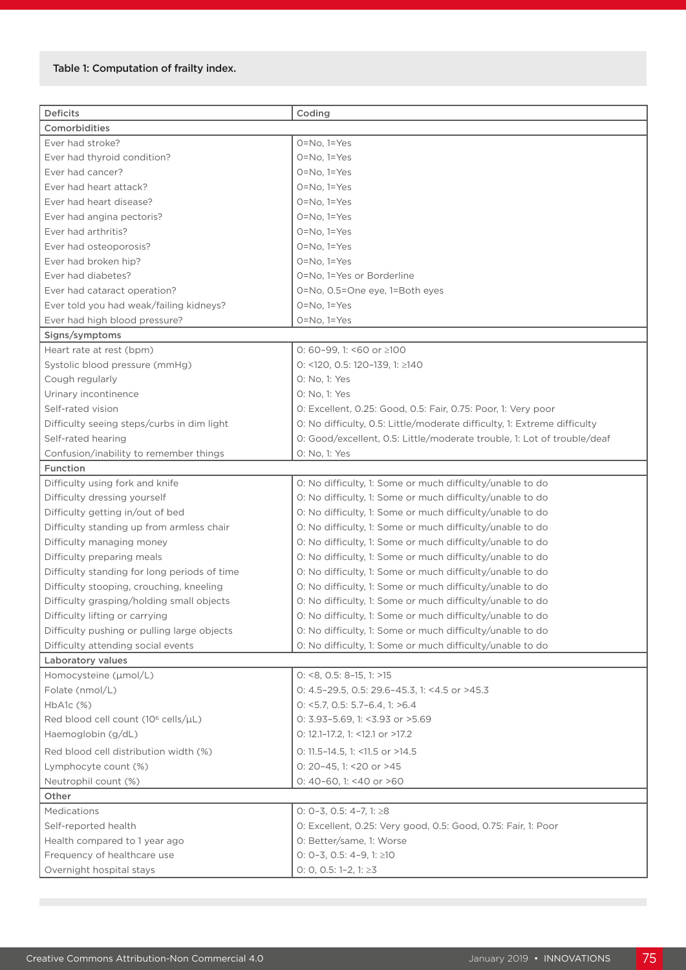#### Table 1: Computation of frailty index.

| <b>Deficits</b>                                 | Coding                                                                   |  |  |  |  |  |
|-------------------------------------------------|--------------------------------------------------------------------------|--|--|--|--|--|
| Comorbidities                                   |                                                                          |  |  |  |  |  |
| Ever had stroke?<br>$O = No$ , $1 = Yes$        |                                                                          |  |  |  |  |  |
| Ever had thyroid condition?                     | $O=No, 1=Yes$                                                            |  |  |  |  |  |
| Ever had cancer?                                |                                                                          |  |  |  |  |  |
| Ever had heart attack?                          | $O=No, 1=Yes$<br>$O=No, 1=Yes$                                           |  |  |  |  |  |
| Ever had heart disease?                         | $O=No, 1=Yes$                                                            |  |  |  |  |  |
| Ever had angina pectoris?                       | $O=No, 1=Yes$                                                            |  |  |  |  |  |
| Ever had arthritis?                             | $O=No, 1=Yes$                                                            |  |  |  |  |  |
| Ever had osteoporosis?                          | $O=No, 1=Yes$                                                            |  |  |  |  |  |
| Ever had broken hip?                            | $O = No$ , $1 = Yes$                                                     |  |  |  |  |  |
| Ever had diabetes?                              | 0=No, 1=Yes or Borderline                                                |  |  |  |  |  |
| Ever had cataract operation?                    | 0=No, 0.5=One eye, 1=Both eyes                                           |  |  |  |  |  |
| Ever told you had weak/failing kidneys?         | $O=No, 1=Yes$                                                            |  |  |  |  |  |
| Ever had high blood pressure?                   | $O = No$ , $1 = Yes$                                                     |  |  |  |  |  |
| Signs/symptoms                                  |                                                                          |  |  |  |  |  |
| Heart rate at rest (bpm)                        | 0: 60-99, 1: <60 or $\geq$ 100                                           |  |  |  |  |  |
| Systolic blood pressure (mmHg)                  | 0: <120, 0.5: 120-139, 1: $\geq$ 140                                     |  |  |  |  |  |
| Cough regularly                                 | 0: No, 1: Yes                                                            |  |  |  |  |  |
| Urinary incontinence                            | 0: No. 1: Yes                                                            |  |  |  |  |  |
| Self-rated vision                               | 0: Excellent, 0.25: Good, 0.5: Fair, 0.75: Poor, 1: Very poor            |  |  |  |  |  |
| Difficulty seeing steps/curbs in dim light      | O: No difficulty, 0.5: Little/moderate difficulty, 1: Extreme difficulty |  |  |  |  |  |
| Self-rated hearing                              | 0: Good/excellent, 0.5: Little/moderate trouble, 1: Lot of trouble/deaf  |  |  |  |  |  |
| Confusion/inability to remember things          | 0: No, 1: Yes                                                            |  |  |  |  |  |
| Function                                        |                                                                          |  |  |  |  |  |
| Difficulty using fork and knife                 | 0: No difficulty, 1: Some or much difficulty/unable to do                |  |  |  |  |  |
| Difficulty dressing yourself                    | 0: No difficulty, 1: Some or much difficulty/unable to do                |  |  |  |  |  |
| Difficulty getting in/out of bed                | 0: No difficulty, 1: Some or much difficulty/unable to do                |  |  |  |  |  |
| Difficulty standing up from armless chair       | 0: No difficulty, 1: Some or much difficulty/unable to do                |  |  |  |  |  |
| Difficulty managing money                       | 0: No difficulty, 1: Some or much difficulty/unable to do                |  |  |  |  |  |
| Difficulty preparing meals                      | 0: No difficulty, 1: Some or much difficulty/unable to do                |  |  |  |  |  |
| Difficulty standing for long periods of time    | 0: No difficulty, 1: Some or much difficulty/unable to do                |  |  |  |  |  |
| Difficulty stooping, crouching, kneeling        | 0: No difficulty, 1: Some or much difficulty/unable to do                |  |  |  |  |  |
| Difficulty grasping/holding small objects       | 0: No difficulty, 1: Some or much difficulty/unable to do                |  |  |  |  |  |
| Difficulty lifting or carrying                  | 0: No difficulty, 1: Some or much difficulty/unable to do                |  |  |  |  |  |
| Difficulty pushing or pulling large objects     | 0: No difficulty, 1: Some or much difficulty/unable to do                |  |  |  |  |  |
| Difficulty attending social events              | 0: No difficulty, 1: Some or much difficulty/unable to do                |  |  |  |  |  |
| Laboratory values                               |                                                                          |  |  |  |  |  |
| Homocysteine (µmol/L)                           | $0: 8, 0.5: 8-15, 1: 15$                                                 |  |  |  |  |  |
| Folate (nmol/L)                                 | 0: 4.5-29.5, 0.5: 29.6-45.3, 1: <4.5 or >45.3                            |  |  |  |  |  |
| $HbA1c$ $(\%)$                                  | $0:$ < 5.7, 0.5: 5.7-6.4, 1: >6.4                                        |  |  |  |  |  |
| Red blood cell count (10 <sup>6</sup> cells/µL) | 0: 3.93-5.69, 1: <3.93 or >5.69                                          |  |  |  |  |  |
| Haemoglobin (g/dL)                              | 0: 12.1-17.2, 1: <12.1 or >17.2                                          |  |  |  |  |  |
| Red blood cell distribution width (%)           | 0: 11.5-14.5, 1: <11.5 or >14.5                                          |  |  |  |  |  |
| Lymphocyte count (%)                            | 0: 20-45, 1: < 20 or > 45                                                |  |  |  |  |  |
| Neutrophil count (%)                            | 0: 40-60, 1: <40 or >60                                                  |  |  |  |  |  |
| Other                                           |                                                                          |  |  |  |  |  |
| Medications                                     | O: $0-3$ , 0.5: 4-7, 1: $\geq 8$                                         |  |  |  |  |  |
| Self-reported health                            | 0: Excellent, 0.25: Very good, 0.5: Good, 0.75: Fair, 1: Poor            |  |  |  |  |  |
| Health compared to 1 year ago                   | 0: Better/same, 1: Worse                                                 |  |  |  |  |  |
| Frequency of healthcare use                     | 0: 0-3, 0.5: 4-9, 1: $\geq$ 10                                           |  |  |  |  |  |
| Overnight hospital stays                        | 0: 0, 0.5: 1-2, 1: $\geq$ 3                                              |  |  |  |  |  |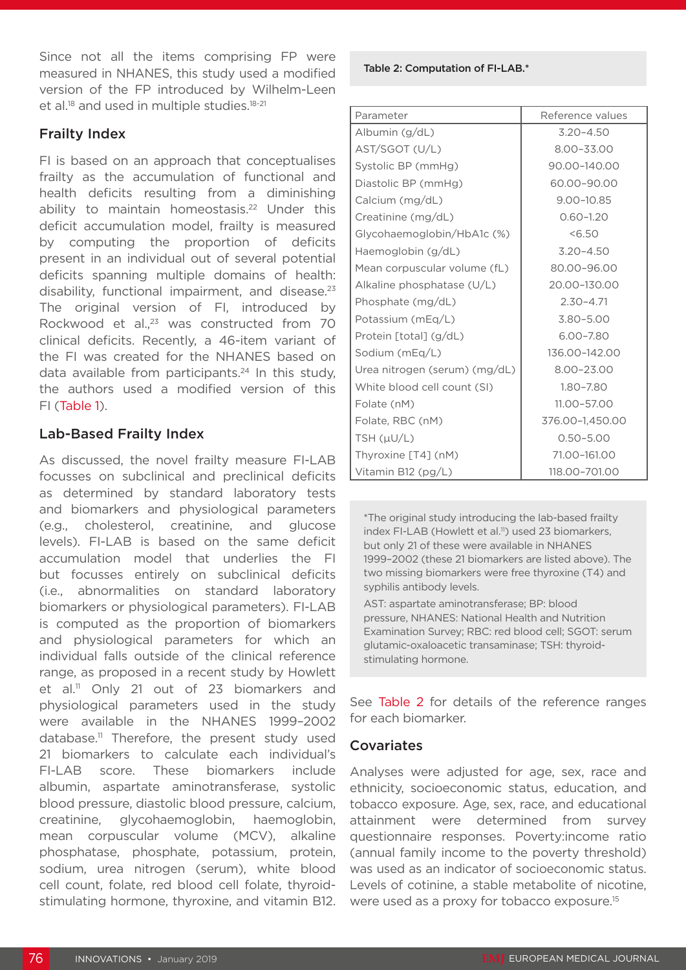Since not all the items comprising FP were measured in NHANES, this study used a modified version of the FP introduced by Wilhelm-Leen et al.<sup>18</sup> and used in multiple studies.<sup>18-21</sup>

### Frailty Index

FI is based on an approach that conceptualises frailty as the accumulation of functional and health deficits resulting from a diminishing ability to maintain homeostasis.<sup>22</sup> Under this deficit accumulation model, frailty is measured by computing the proportion of deficits present in an individual out of several potential deficits spanning multiple domains of health: disability, functional impairment, and disease.<sup>23</sup> The original version of FI, introduced by Rockwood et al.,<sup>23</sup> was constructed from 70 clinical deficits. Recently, a 46-item variant of the FI was created for the NHANES based on data available from participants.<sup>24</sup> In this study, the authors used a modified version of this FI (Table 1).

## Lab-Based Frailty Index

As discussed, the novel frailty measure FI-LAB focusses on subclinical and preclinical deficits as determined by standard laboratory tests and biomarkers and physiological parameters (e.g., cholesterol, creatinine, and glucose levels). FI-LAB is based on the same deficit accumulation model that underlies the FI but focusses entirely on subclinical deficits (i.e., abnormalities on standard laboratory biomarkers or physiological parameters). FI-LAB is computed as the proportion of biomarkers and physiological parameters for which an individual falls outside of the clinical reference range, as proposed in a recent study by Howlett et al.<sup>11</sup> Only 21 out of 23 biomarkers and physiological parameters used in the study were available in the NHANES 1999–2002 database.11 Therefore, the present study used 21 biomarkers to calculate each individual's FI-LAB score. These biomarkers include albumin, aspartate aminotransferase, systolic blood pressure, diastolic blood pressure, calcium, creatinine, glycohaemoglobin, haemoglobin, mean corpuscular volume (MCV), alkaline phosphatase, phosphate, potassium, protein, sodium, urea nitrogen (serum), white blood cell count, folate, red blood cell folate, thyroidstimulating hormone, thyroxine, and vitamin B12. Table 2: Computation of FI-LAB.\*

| Parameter                     | Reference values |  |  |
|-------------------------------|------------------|--|--|
| Albumin $(g/dL)$              | $3.20 - 4.50$    |  |  |
| AST/SGOT (U/L)                | 8.00-33.00       |  |  |
| Systolic BP (mmHg)            | 90.00-140.00     |  |  |
| Diastolic BP (mmHg)           | 60.00-90.00      |  |  |
| Calcium (mg/dL)               | $9.00 - 10.85$   |  |  |
| Creatinine (mg/dL)            | $0.60 - 1.20$    |  |  |
| Glycohaemoglobin/HbA1c (%)    | 56.50            |  |  |
| Haemoglobin (g/dL)            | $3.20 - 4.50$    |  |  |
| Mean corpuscular volume (fL)  | 80.00-96.00      |  |  |
| Alkaline phosphatase (U/L)    | 20.00-130.00     |  |  |
| Phosphate (mg/dL)             | $2.30 - 4.71$    |  |  |
| Potassium (mEq/L)             | $3.80 - 5.00$    |  |  |
| Protein [total] (g/dL)        | 6.00-7.80        |  |  |
| Sodium (mEq/L)                | 136.00-142.00    |  |  |
| Urea nitrogen (serum) (mg/dL) | 8.00-23.00       |  |  |
| White blood cell count (SI)   | 1.80-7.80        |  |  |
| Folate (nM)                   | 11.00-57.00      |  |  |
| Folate, RBC (nM)              | 376.00-1,450.00  |  |  |
| TSH $(\mu U/L)$               | $0.50 - 5.00$    |  |  |
| Thyroxine [T4] (nM)           | 71.00-161.00     |  |  |
| Vitamin B12 $(pg/L)$          | 118.00-701.00    |  |  |

\*The original study introducing the lab-based frailty index FI-LAB (Howlett et al.<sup>11</sup>) used 23 biomarkers, but only 21 of these were available in NHANES 1999–2002 (these 21 biomarkers are listed above). The two missing biomarkers were free thyroxine (T4) and syphilis antibody levels.

AST: aspartate aminotransferase; BP: blood pressure, NHANES: National Health and Nutrition Examination Survey; RBC: red blood cell; SGOT: serum glutamic-oxaloacetic transaminase; TSH: thyroidstimulating hormone.

See Table 2 for details of the reference ranges for each biomarker.

#### **Covariates**

Analyses were adjusted for age, sex, race and ethnicity, socioeconomic status, education, and tobacco exposure. Age, sex, race, and educational attainment were determined from survey questionnaire responses. Poverty:income ratio (annual family income to the poverty threshold) was used as an indicator of socioeconomic status. Levels of cotinine, a stable metabolite of nicotine, were used as a proxy for tobacco exposure.<sup>15</sup>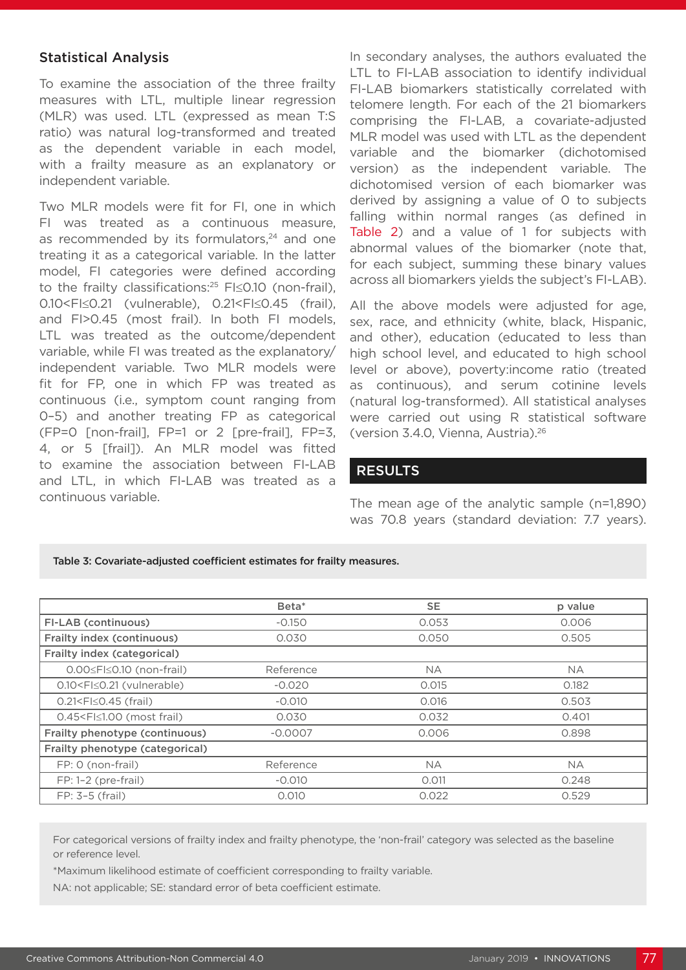#### Statistical Analysis

To examine the association of the three frailty measures with LTL, multiple linear regression (MLR) was used. LTL (expressed as mean T:S ratio) was natural log-transformed and treated as the dependent variable in each model, with a frailty measure as an explanatory or independent variable.

Two MLR models were fit for FI, one in which FI was treated as a continuous measure, as recommended by its formulators,<sup>24</sup> and one treating it as a categorical variable. In the latter model, FI categories were defined according to the frailty classifications:25 FI≤0.10 (non-frail), 0.10<FI≤0.21 (vulnerable), 0.21<FI≤0.45 (frail), and FI>0.45 (most frail). In both FI models, LTL was treated as the outcome/dependent variable, while FI was treated as the explanatory/ independent variable. Two MLR models were fit for FP, one in which FP was treated as continuous (i.e., symptom count ranging from 0–5) and another treating FP as categorical (FP=0 [non-frail], FP=1 or 2 [pre-frail], FP=3, 4, or 5 [frail]). An MLR model was fitted to examine the association between FI-LAB and LTL, in which FI-LAB was treated as a continuous variable.

In secondary analyses, the authors evaluated the LTL to FI-LAB association to identify individual FI-LAB biomarkers statistically correlated with telomere length. For each of the 21 biomarkers comprising the FI-LAB, a covariate-adjusted MLR model was used with LTL as the dependent variable and the biomarker (dichotomised version) as the independent variable. The dichotomised version of each biomarker was derived by assigning a value of 0 to subjects falling within normal ranges (as defined in Table 2) and a value of 1 for subjects with abnormal values of the biomarker (note that, for each subject, summing these binary values across all biomarkers yields the subject's FI-LAB).

All the above models were adjusted for age, sex, race, and ethnicity (white, black, Hispanic, and other), education (educated to less than high school level, and educated to high school level or above), poverty:income ratio (treated as continuous), and serum cotinine levels (natural log-transformed). All statistical analyses were carried out using R statistical software (version 3.4.0, Vienna, Austria).26

#### RESULTS

The mean age of the analytic sample (n=1,890) was 70.8 years (standard deviation: 7.7 years).

#### Table 3: Covariate-adjusted coefficient estimates for frailty measures.

|                                                                                                         | Beta*     | <b>SE</b> | p value   |
|---------------------------------------------------------------------------------------------------------|-----------|-----------|-----------|
| FI-LAB (continuous)                                                                                     | $-0.150$  | 0.053     | 0.006     |
| Frailty index (continuous)                                                                              | 0.030     | 0.050     | 0.505     |
| Frailty index (categorical)                                                                             |           |           |           |
| $0.00 \leq F \leq 0.10$ (non-frail)                                                                     | Reference | <b>NA</b> | <b>NA</b> |
| 0.10 <fi≤0.21 (vulnerable)<="" td=""><td><math>-0.020</math></td><td>0.015</td><td>0.182</td></fi≤0.21> | $-0.020$  | 0.015     | 0.182     |
| $0.21 < F \le 0.45$ (frail)                                                                             | $-0.010$  | 0.016     | 0.503     |
| 0.45 <fi≤1.00 (most="" frail)<="" td=""><td>0.030</td><td>0.032</td><td>0.401</td></fi≤1.00>            | 0.030     | 0.032     | 0.401     |
| Frailty phenotype (continuous)                                                                          | $-0.0007$ | 0.006     | 0.898     |
| Frailty phenotype (categorical)                                                                         |           |           |           |
| FP: 0 (non-frail)                                                                                       | Reference | <b>NA</b> | <b>NA</b> |
| $FP: 1-2$ (pre-frail)                                                                                   | $-0.010$  | 0.011     | 0.248     |
| $FP: 3-5 (frail)$                                                                                       | 0.010     | 0.022     | 0.529     |

For categorical versions of frailty index and frailty phenotype, the 'non-frail' category was selected as the baseline or reference level.

\*Maximum likelihood estimate of coefficient corresponding to frailty variable.

NA: not applicable; SE: standard error of beta coefficient estimate.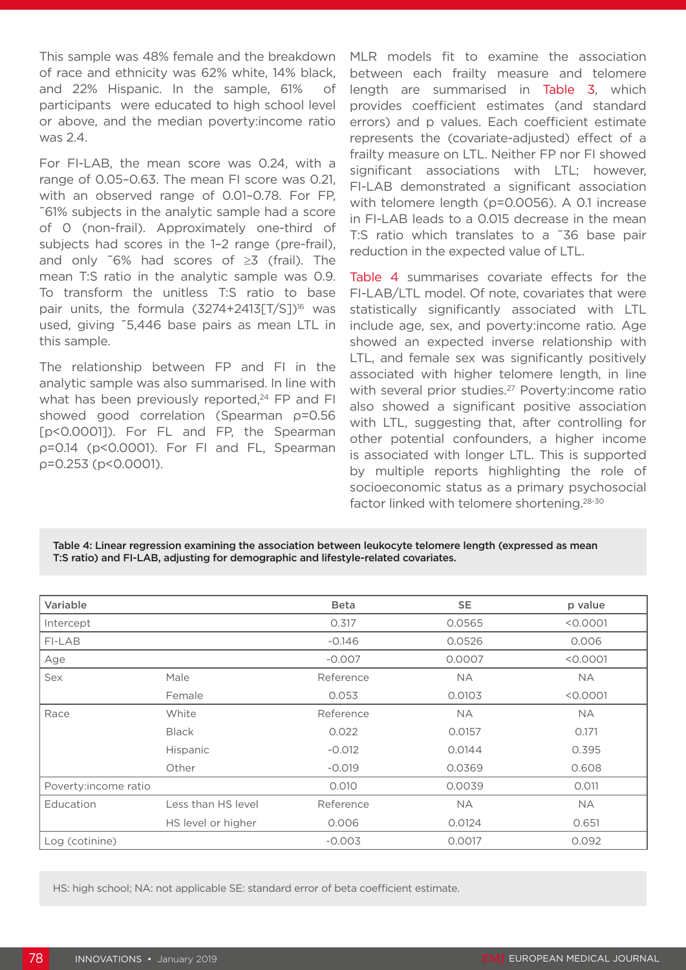This sample was 48% female and the breakdown of race and ethnicity was 62% white, 14% black, and 22% Hispanic. In the sample, 61% of participants were educated to high school level or above, and the median poverty:income ratio was 2.4.

For FI-LAB, the mean score was 0.24, with a range of 0.05–0.63. The mean FI score was 0.21, with an observed range of 0.01–0.78. For FP, ~61% subjects in the analytic sample had a score of 0 (non-frail). Approximately one-third of subjects had scores in the 1–2 range (pre-frail), and only ~6% had scores of ≥3 (frail). The mean T:S ratio in the analytic sample was 0.9. To transform the unitless T:S ratio to base pair units, the formula  $(3274+2413[T/S])^{16}$  was used, giving ~5,446 base pairs as mean LTL in this sample.

The relationship between FP and FI in the analytic sample was also summarised. In line with what has been previously reported,<sup>24</sup> FP and FI showed good correlation (Spearman ρ=0.56 [p<0.0001]). For FL and FP, the Spearman ρ=0.14 (p<0.0001). For FI and FL, Spearman ρ=0.253 (p<0.0001).

MLR models fit to examine the association between each frailty measure and telomere length are summarised in Table 3, which provides coefficient estimates (and standard errors) and p values. Each coefficient estimate represents the (covariate-adjusted) effect of a frailty measure on LTL. Neither FP nor FI showed significant associations with LTL; however, FI-LAB demonstrated a significant association with telomere length (p=0.0056). A 0.1 increase in FI-LAB leads to a 0.015 decrease in the mean T:S ratio which translates to a ~36 base pair reduction in the expected value of LTL.

Table 4 summarises covariate effects for the FI-LAB/LTL model. Of note, covariates that were statistically significantly associated with LTL include age, sex, and poverty:income ratio. Age showed an expected inverse relationship with LTL, and female sex was significantly positively associated with higher telomere length, in line with several prior studies.<sup>27</sup> Poverty: income ratio also showed a significant positive association with LTL, suggesting that, after controlling for other potential confounders, a higher income is associated with longer LTL. This is supported by multiple reports highlighting the role of socioeconomic status as a primary psychosocial factor linked with telomere shortening.28-30

Table 4: Linear regression examining the association between leukocyte telomere length (expressed as mean T:S ratio) and FI-LAB, adjusting for demographic and lifestyle-related covariates.

| Variable             |                    | <b>Beta</b> | <b>SE</b> | p value   |
|----------------------|--------------------|-------------|-----------|-----------|
| Intercept            |                    | 0.317       | 0.0565    | < 0.0001  |
| FI-LAB               |                    | $-0.146$    | 0.0526    | 0.006     |
| Age                  |                    | $-0.007$    | 0.0007    | < 0.0001  |
| Sex                  | Male               | Reference   | <b>NA</b> | <b>NA</b> |
|                      | Female             | 0.053       | 0.0103    | < 0.0001  |
| Race                 | White              | Reference   | <b>NA</b> | <b>NA</b> |
|                      | <b>Black</b>       | 0.022       | 0.0157    | 0.171     |
|                      | <b>Hispanic</b>    | $-0.012$    | 0.0144    | 0.395     |
|                      | Other              | $-0.019$    | 0.0369    | 0.608     |
| Poverty:income ratio |                    | 0.010       | 0.0039    | 0.011     |
| Education            | Less than HS level | Reference   | <b>NA</b> | <b>NA</b> |
|                      | HS level or higher | 0.006       | 0.0124    | 0.651     |
| Log (cotinine)       |                    | $-0.003$    | 0.0017    | 0.092     |

HS: high school; NA: not applicable SE: standard error of beta coefficient estimate.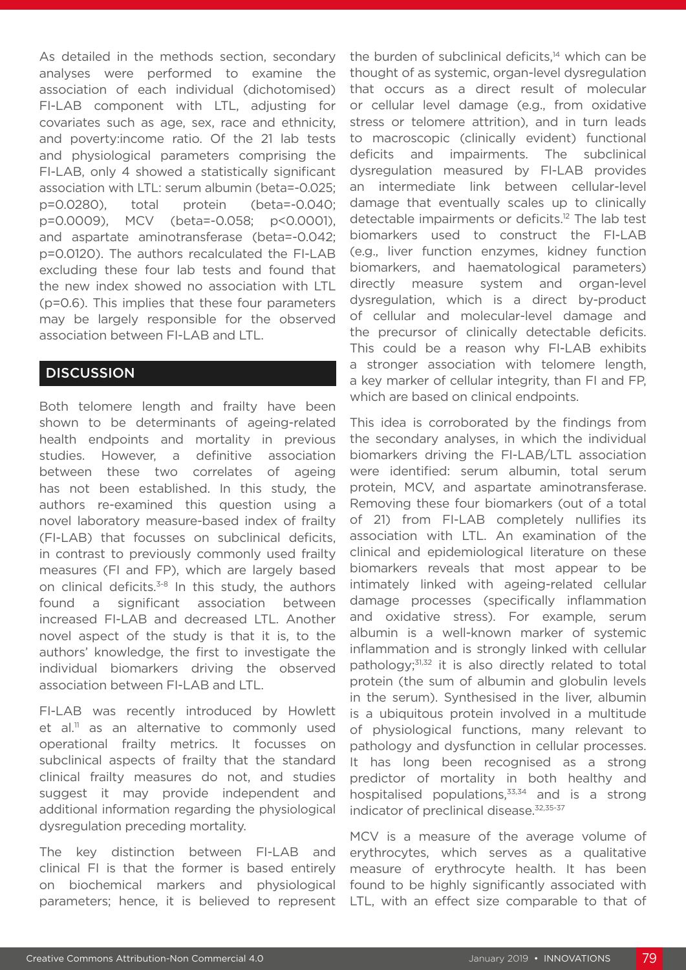As detailed in the methods section, secondary analyses were performed to examine the association of each individual (dichotomised) FI-LAB component with LTL, adjusting for covariates such as age, sex, race and ethnicity, and poverty:income ratio. Of the 21 lab tests and physiological parameters comprising the FI-LAB, only 4 showed a statistically significant association with LTL: serum albumin (beta=-0.025; p=0.0280), total protein (beta=-0.040; p=0.0009), MCV (beta=-0.058; p<0.0001), and aspartate aminotransferase (beta=-0.042; p=0.0120). The authors recalculated the FI-LAB excluding these four lab tests and found that the new index showed no association with LTL (p=0.6). This implies that these four parameters may be largely responsible for the observed association between FI-LAB and LTL.

## **DISCUSSION**

Both telomere length and frailty have been shown to be determinants of ageing-related health endpoints and mortality in previous studies. However, a definitive association between these two correlates of ageing has not been established. In this study, the authors re-examined this question using a novel laboratory measure-based index of frailty (FI-LAB) that focusses on subclinical deficits, in contrast to previously commonly used frailty measures (FI and FP), which are largely based on clinical deficits.<sup>3-8</sup> In this study, the authors found a significant association between increased FI-LAB and decreased LTL. Another novel aspect of the study is that it is, to the authors' knowledge, the first to investigate the individual biomarkers driving the observed association between FI-LAB and LTL.

FI-LAB was recently introduced by Howlett et al.<sup>11</sup> as an alternative to commonly used operational frailty metrics. It focusses on subclinical aspects of frailty that the standard clinical frailty measures do not, and studies suggest it may provide independent and additional information regarding the physiological dysregulation preceding mortality.

The key distinction between FI-LAB and clinical FI is that the former is based entirely on biochemical markers and physiological parameters; hence, it is believed to represent the burden of subclinical deficits,<sup>14</sup> which can be thought of as systemic, organ-level dysregulation that occurs as a direct result of molecular or cellular level damage (e.g., from oxidative stress or telomere attrition), and in turn leads to macroscopic (clinically evident) functional deficits and impairments. The subclinical dysregulation measured by FI-LAB provides an intermediate link between cellular-level damage that eventually scales up to clinically detectable impairments or deficits.<sup>12</sup> The lab test biomarkers used to construct the FI-LAB (e.g., liver function enzymes, kidney function biomarkers, and haematological parameters) directly measure system and organ-level dysregulation, which is a direct by-product of cellular and molecular-level damage and the precursor of clinically detectable deficits. This could be a reason why FI-LAB exhibits a stronger association with telomere length, a key marker of cellular integrity, than FI and FP, which are based on clinical endpoints.

This idea is corroborated by the findings from the secondary analyses, in which the individual biomarkers driving the FI-LAB/LTL association were identified: serum albumin, total serum protein, MCV, and aspartate aminotransferase. Removing these four biomarkers (out of a total of 21) from FI-LAB completely nullifies its association with LTL. An examination of the clinical and epidemiological literature on these biomarkers reveals that most appear to be intimately linked with ageing-related cellular damage processes (specifically inflammation and oxidative stress). For example, serum albumin is a well-known marker of systemic inflammation and is strongly linked with cellular pathology;31,32 it is also directly related to total protein (the sum of albumin and globulin levels in the serum). Synthesised in the liver, albumin is a ubiquitous protein involved in a multitude of physiological functions, many relevant to pathology and dysfunction in cellular processes. It has long been recognised as a strong predictor of mortality in both healthy and hospitalised populations, $33,34$  and is a strong indicator of preclinical disease.32,35-37

MCV is a measure of the average volume of erythrocytes, which serves as a qualitative measure of erythrocyte health. It has been found to be highly significantly associated with LTL, with an effect size comparable to that of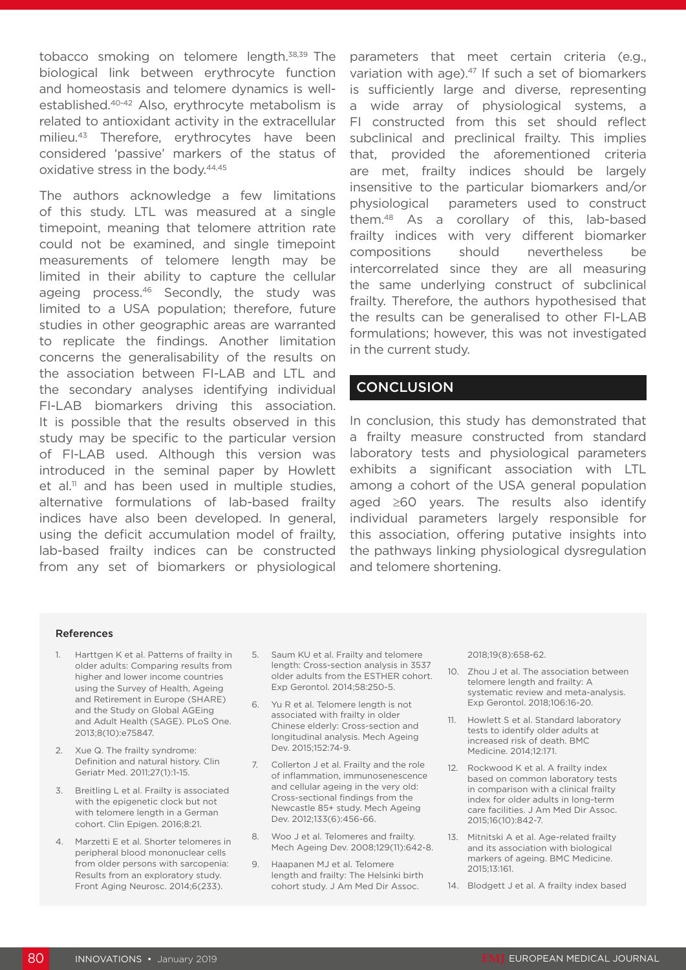tobacco smoking on telomere length.38,39 The biological link between erythrocyte function and homeostasis and telomere dynamics is wellestablished.40-42 Also, erythrocyte metabolism is related to antioxidant activity in the extracellular milieu.<sup>43</sup> Therefore, erythrocytes have been considered 'passive' markers of the status of oxidative stress in the body.44,45

The authors acknowledge a few limitations of this study. LTL was measured at a single timepoint, meaning that telomere attrition rate could not be examined, and single timepoint measurements of telomere length may be limited in their ability to capture the cellular ageing process.<sup>46</sup> Secondly, the study was limited to a USA population; therefore, future studies in other geographic areas are warranted to replicate the findings. Another limitation concerns the generalisability of the results on the association between FI-LAB and LTL and the secondary analyses identifying individual FI-LAB biomarkers driving this association. It is possible that the results observed in this study may be specific to the particular version of FI-LAB used. Although this version was introduced in the seminal paper by Howlett  $et$  al.<sup>11</sup> and has been used in multiple studies, alternative formulations of lab-based frailty indices have also been developed. In general, using the deficit accumulation model of frailty, lab-based frailty indices can be constructed from any set of biomarkers or physiological

parameters that meet certain criteria (e.g., variation with age). $47$  If such a set of biomarkers is sufficiently large and diverse, representing a wide array of physiological systems, a FI constructed from this set should reflect subclinical and preclinical frailty. This implies that, provided the aforementioned criteria are met, frailty indices should be largely insensitive to the particular biomarkers and/or physiological parameters used to construct them.48 As a corollary of this, lab-based frailty indices with very different biomarker compositions should nevertheless be intercorrelated since they are all measuring the same underlying construct of subclinical frailty. Therefore, the authors hypothesised that the results can be generalised to other FI-LAB formulations; however, this was not investigated in the current study.

#### **CONCLUSION**

In conclusion, this study has demonstrated that a frailty measure constructed from standard laboratory tests and physiological parameters exhibits a significant association with LTL among a cohort of the USA general population aged ≥60 years. The results also identify individual parameters largely responsible for this association, offering putative insights into the pathways linking physiological dysregulation and telomere shortening.

#### References

- 1. Harttgen K et al. Patterns of frailty in older adults: Comparing results from higher and lower income countries using the Survey of Health, Ageing and Retirement in Europe (SHARE) and the Study on Global AGEing and Adult Health (SAGE). PLoS One. 2013;8(10):e75847.
- 2. Xue Q. The frailty syndrome: Definition and natural history. Clin Geriatr Med. 2011;27(1):1-15.
- 3. Breitling L et al. Frailty is associated with the epigenetic clock but not with telomere length in a German cohort. Clin Epigen. 2016;8:21.
- 4. Marzetti E et al. Shorter telomeres in peripheral blood mononuclear cells from older persons with sarcopenia: Results from an exploratory study. Front Aging Neurosc. 2014;6(233).
- 5. Saum KU et al. Frailty and telomere length: Cross-section analysis in 3537 older adults from the ESTHER cohort. Exp Gerontol. 2014;58:250-5.
- 6. Yu R et al. Telomere length is not associated with frailty in older Chinese elderly: Cross-section and longitudinal analysis. Mech Ageing Dev. 2015;152:74-9.
- 7. Collerton J et al. Frailty and the role of inflammation, immunosenescence and cellular ageing in the very old: Cross-sectional findings from the Newcastle 85+ study. Mech Ageing Dev. 2012;133(6):456-66.
- 8. Woo J et al. Telomeres and frailty. Mech Ageing Dev. 2008;129(11):642-8.
- 9. Haapanen MJ et al. Telomere length and frailty: The Helsinki birth cohort study. J Am Med Dir Assoc.

2018;19(8):658-62.

- 10. Zhou J et al. The association between telomere length and frailty: A systematic review and meta-analysis. Exp Gerontol. 2018;106:16-20.
- 11. Howlett S et al. Standard laboratory tests to identify older adults at increased risk of death. BMC Medicine. 2014;12:171.
- 12. Rockwood K et al. A frailty index based on common laboratory tests in comparison with a clinical frailty index for older adults in long-term care facilities. J Am Med Dir Assoc. 2015;16(10):842-7.
- 13. Mitnitski A et al. Age-related frailty and its association with biological markers of ageing. BMC Medicine. 2015;13:161.
- 14. Blodgett J et al. A frailty index based